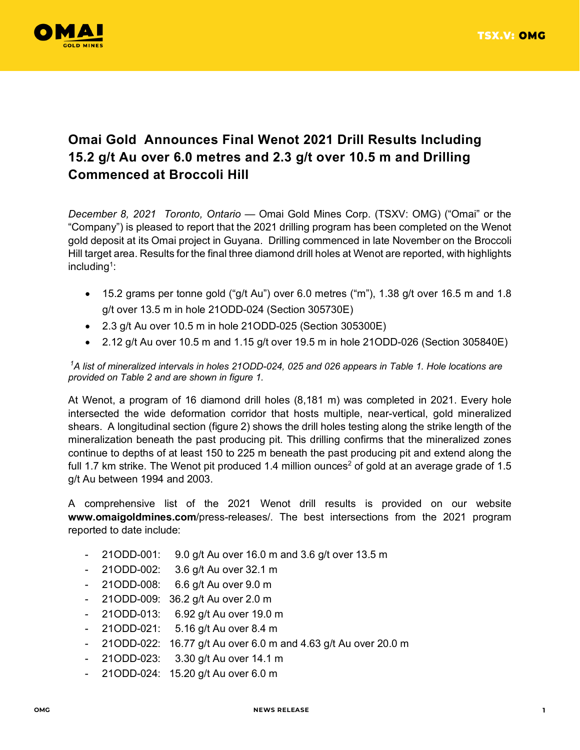

## **Omai Gold Announces Final Wenot 2021 Drill Results Including 15.2 g/t Au over 6.0 metres and 2.3 g/t over 10.5 m and Drilling Commenced at Broccoli Hill**

*December 8, 2021 Toronto, Ontario* — Omai Gold Mines Corp. (TSXV: OMG) ("Omai" or the "Company") is pleased to report that the 2021 drilling program has been completed on the Wenot gold deposit at its Omai project in Guyana. Drilling commenced in late November on the Broccoli Hill target area. Results for the final three diamond drill holes at Wenot are reported, with highlights including $^1$ :

- $\bullet$  15.2 grams per tonne gold ("g/t Au") over 6.0 metres ("m"), 1.38 g/t over 16.5 m and 1.8 g/t over 13.5 m in hole 21ODD-024 (Section 305730E)
- 2.3 g/t Au over 10.5 m in hole 21ODD-025 (Section 305300E)
- $\bullet$  2.12 g/t Au over 10.5 m and 1.15 g/t over 19.5 m in hole 21ODD-026 (Section 305840E)

*<sup>1</sup>A list of mineralized intervals in holes 21ODD-024, 025 and 026 appears in Table 1. Hole locations are provided on Table 2 and are shown in figure 1.* 

At Wenot, a program of 16 diamond drill holes (8,181 m) was completed in 2021. Every hole intersected the wide deformation corridor that hosts multiple, near-vertical, gold mineralized shears. A longitudinal section (figure 2) shows the drill holes testing along the strike length of the mineralization beneath the past producing pit. This drilling confirms that the mineralized zones continue to depths of at least 150 to 225 m beneath the past producing pit and extend along the full 1.7 km strike. The Wenot pit produced 1.4 million ounces<sup>2</sup> of gold at an average grade of 1.5 g/t Au between 1994 and 2003.

A comprehensive list of the 2021 Wenot drill results is provided on our website **www.omaigoldmines.com**/press-releases/. The best intersections from the 2021 program reported to date include:

- 21ODD-001: 9.0 g/t Au over 16.0 m and 3.6 g/t over 13.5 m
- 21ODD-002: 3.6 g/t Au over 32.1 m
- 21ODD-008: 6.6 g/t Au over 9.0 m
- 21ODD-009: 36.2 g/t Au over 2.0 m
- 21ODD-013: 6.92 g/t Au over 19.0 m
- 21ODD-021: 5.16 g/t Au over 8.4 m
- 21ODD-022: 16.77 g/t Au over 6.0 m and 4.63 g/t Au over 20.0 m
- 21ODD-023: 3.30 g/t Au over 14.1 m
- 21ODD-024: 15.20 g/t Au over 6.0 m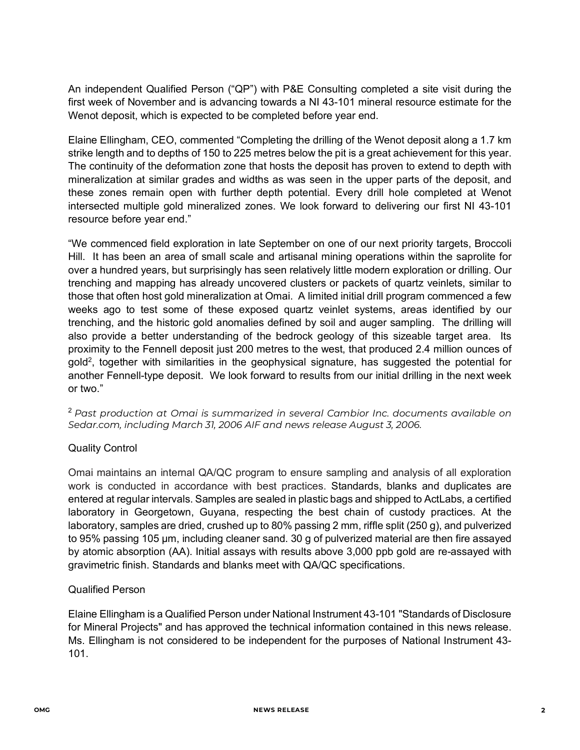An independent Qualified Person ("QP") with P&E Consulting completed a site visit during the first week of November and is advancing towards a NI 43-101 mineral resource estimate for the Wenot deposit, which is expected to be completed before year end.

Elaine Ellingham, CEO, commented "Completing the drilling of the Wenot deposit along a 1.7 km strike length and to depths of 150 to 225 metres below the pit is a great achievement for this year. The continuity of the deformation zone that hosts the deposit has proven to extend to depth with mineralization at similar grades and widths as was seen in the upper parts of the deposit, and these zones remain open with further depth potential. Every drill hole completed at Wenot intersected multiple gold mineralized zones. We look forward to delivering our first NI 43-101 resource before year end."

"We commenced field exploration in late September on one of our next priority targets, Broccoli Hill. It has been an area of small scale and artisanal mining operations within the saprolite for over a hundred years, but surprisingly has seen relatively little modern exploration or drilling. Our trenching and mapping has already uncovered clusters or packets of quartz veinlets, similar to those that often host gold mineralization at Omai. A limited initial drill program commenced a few weeks ago to test some of these exposed quartz veinlet systems, areas identified by our trenching, and the historic gold anomalies defined by soil and auger sampling. The drilling will also provide a better understanding of the bedrock geology of this sizeable target area. Its proximity to the Fennell deposit just 200 metres to the west, that produced 2.4 million ounces of gold<sup>2</sup>, together with similarities in the geophysical signature, has suggested the potential for another Fennell-type deposit. We look forward to results from our initial drilling in the next week or two."

<sup>2</sup>*Past production at Omai is summarized in several Cambior Inc. documents available on Sedar.com, including March 31, 2006 AIF and news release August 3, 2006.* 

## Quality Control

Omai maintains an internal QA/QC program to ensure sampling and analysis of all exploration work is conducted in accordance with best practices. Standards, blanks and duplicates are entered at regular intervals. Samples are sealed in plastic bags and shipped to ActLabs, a certified laboratory in Georgetown, Guyana, respecting the best chain of custody practices. At the laboratory, samples are dried, crushed up to 80% passing 2 mm, riffle split (250 g), and pulverized to 95% passing 105 μm, including cleaner sand. 30 g of pulverized material are then fire assayed by atomic absorption (AA). Initial assays with results above 3,000 ppb gold are re-assayed with gravimetric finish. Standards and blanks meet with QA/QC specifications.

## Qualified Person

Elaine Ellingham is a Qualified Person under National Instrument 43-101 "Standards of Disclosure for Mineral Projects" and has approved the technical information contained in this news release. Ms. Ellingham is not considered to be independent for the purposes of National Instrument 43- 101.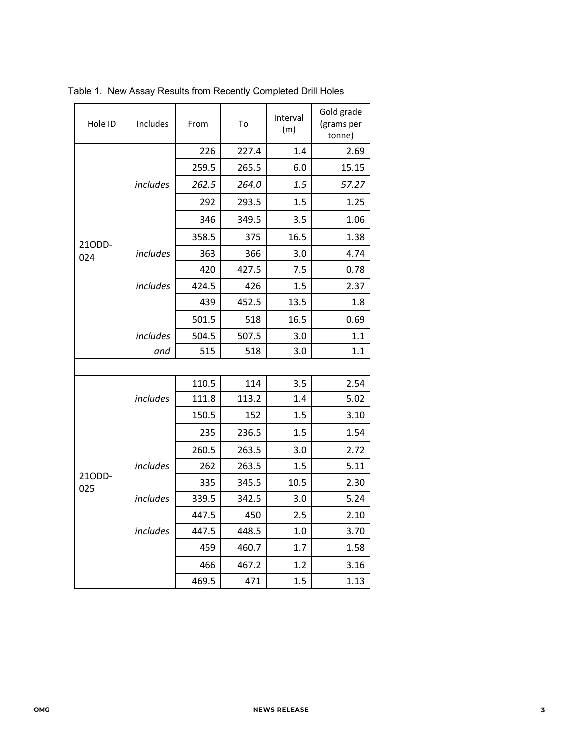| Hole ID       | Includes | From  | To    |      | Gold grade<br>(grams per<br>tonne) |
|---------------|----------|-------|-------|------|------------------------------------|
|               |          | 226   | 227.4 | 1.4  | 2.69                               |
|               |          | 259.5 | 265.5 | 6.0  | 15.15                              |
|               | includes | 262.5 | 264.0 | 1.5  | 57.27                              |
|               |          | 292   | 293.5 | 1.5  | 1.25                               |
|               |          | 346   | 349.5 | 3.5  | 1.06                               |
|               |          | 358.5 | 375   | 16.5 | 1.38                               |
| 210DD-<br>024 | includes | 363   | 366   | 3.0  | 4.74                               |
|               |          | 420   | 427.5 | 7.5  | 0.78                               |
|               | includes | 424.5 | 426   | 1.5  | 2.37                               |
|               |          | 439   | 452.5 | 13.5 | 1.8                                |
|               |          | 501.5 | 518   | 16.5 | 0.69                               |
|               | includes | 504.5 | 507.5 | 3.0  | 1.1                                |
|               | and      | 515   | 518   | 3.0  | 1.1                                |
|               |          |       |       |      |                                    |
|               |          | 110.5 | 114   | 3.5  | 2.54                               |
|               | includes | 111.8 | 113.2 | 1.4  | 5.02                               |
| 21ODD-<br>025 |          | 150.5 | 152   | 1.5  | 3.10                               |
|               |          | 235   | 236.5 | 1.5  | 1.54                               |
|               |          | 260.5 | 263.5 | 3.0  | 2.72                               |
|               | includes | 262   | 263.5 | 1.5  | 5.11                               |
|               |          | 335   | 345.5 | 10.5 | 2.30                               |
|               | includes | 339.5 | 342.5 | 3.0  | 5.24                               |
|               |          | 447.5 | 450   | 2.5  | 2.10                               |
|               | includes | 447.5 | 448.5 | 1.0  | 3.70                               |
|               |          | 459   | 460.7 | 1.7  | 1.58                               |
|               |          | 466   | 467.2 | 1.2  | 3.16                               |
|               |          | 469.5 | 471   | 1.5  | 1.13                               |

Table 1. New Assay Results from Recently Completed Drill Holes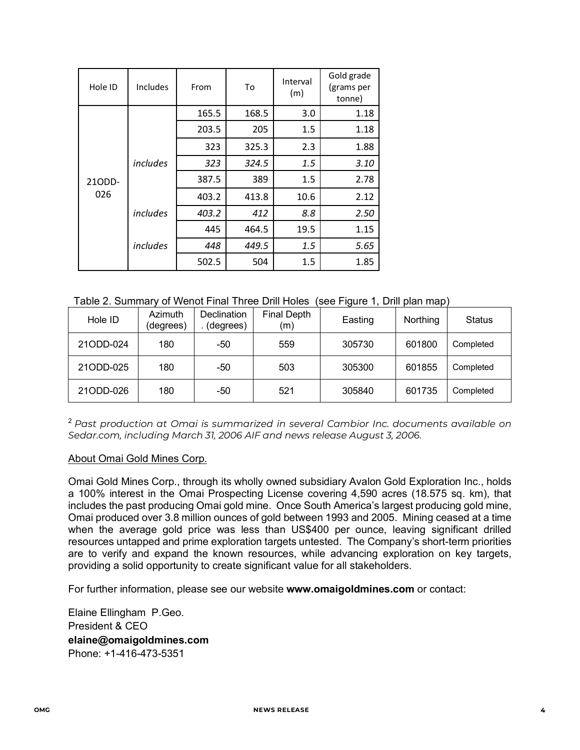| Hole ID       | Includes | From  | To    | Interval<br>(m) | Gold grade<br>(grams per<br>tonne) |
|---------------|----------|-------|-------|-----------------|------------------------------------|
| 21ODD-<br>026 |          | 165.5 | 168.5 | 3.0             | 1.18                               |
|               |          | 203.5 | 205   | 1.5             | 1.18                               |
|               |          | 323   | 325.3 | 2.3             | 1.88                               |
|               | includes | 323   | 324.5 | 1.5             | 3.10                               |
|               |          | 387.5 | 389   | 1.5             | 2.78                               |
|               |          | 403.2 | 413.8 | 10.6            | 2.12                               |
|               | includes | 403.2 | 412   | 8.8             | 2.50                               |
|               |          | 445   | 464.5 | 19.5            | 1.15                               |
|               | includes | 448   | 449.5 | 1.5             | 5.65                               |
|               |          | 502.5 | 504   | 1.5             | 1.85                               |

Table 2. Summary of Wenot Final Three Drill Holes (see Figure 1, Drill plan map)

| Hole ID   | Azimuth<br>(degrees) | Declination<br>(degrees) | <b>Final Depth</b><br>(m) | Easting | Northing | <b>Status</b> |
|-----------|----------------------|--------------------------|---------------------------|---------|----------|---------------|
| 21ODD-024 | 180                  | -50                      | 559                       | 305730  | 601800   | Completed     |
| 21ODD-025 | 180                  | -50                      | 503                       | 305300  | 601855   | Completed     |
| 21ODD-026 | 180                  | -50                      | 521                       | 305840  | 601735   | Completed     |

<sup>2</sup>*Past production at Omai is summarized in several Cambior Inc. documents available on Sedar.com, including March 31, 2006 AIF and news release August 3, 2006.* 

## About Omai Gold Mines Corp.

Omai Gold Mines Corp., through its wholly owned subsidiary Avalon Gold Exploration Inc., holds a 100% interest in the Omai Prospecting License covering 4,590 acres (18.575 sq. km), that includes the past producing Omai gold mine. Once South America's largest producing gold mine, Omai produced over 3.8 million ounces of gold between 1993 and 2005. Mining ceased at a time when the average gold price was less than US\$400 per ounce, leaving significant drilled resources untapped and prime exploration targets untested. The Company's short-term priorities are to verify and expand the known resources, while advancing exploration on key targets, providing a solid opportunity to create significant value for all stakeholders.

For further information, please see our website **www.omaigoldmines.com** or contact:

Elaine Ellingham P.Geo. President & CEO **elaine@omaigoldmines.com**  Phone: +1-416-473-5351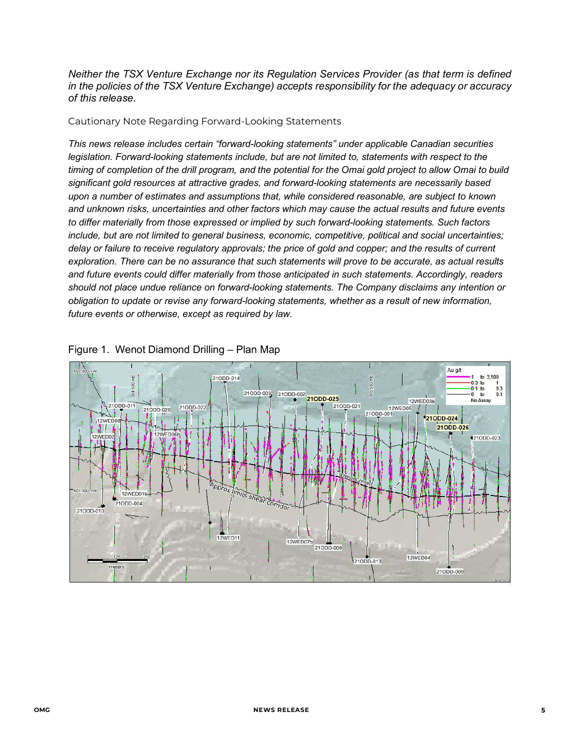*Neither the TSX Venture Exchange nor its Regulation Services Provider (as that term is defined in the policies of the TSX Venture Exchange) accepts responsibility for the adequacy or accuracy of this release.* 

Cautionary Note Regarding Forward-Looking Statements

*This news release includes certain "forward-looking statements" under applicable Canadian securities legislation. Forward-looking statements include, but are not limited to, statements with respect to the timing of completion of the drill program, and the potential for the Omai gold project to allow Omai to build significant gold resources at attractive grades, and forward-looking statements are necessarily based upon a number of estimates and assumptions that, while considered reasonable, are subject to known and unknown risks, uncertainties and other factors which may cause the actual results and future events to differ materially from those expressed or implied by such forward-looking statements. Such factors include, but are not limited to general business, economic, competitive, political and social uncertainties; delay or failure to receive regulatory approvals; the price of gold and copper; and the results of current exploration. There can be no assurance that such statements will prove to be accurate, as actual results and future events could differ materially from those anticipated in such statements. Accordingly, readers should not place undue reliance on forward-looking statements. The Company disclaims any intention or obligation to update or revise any forward-looking statements, whether as a result of new information, future events or otherwise, except as required by law.*